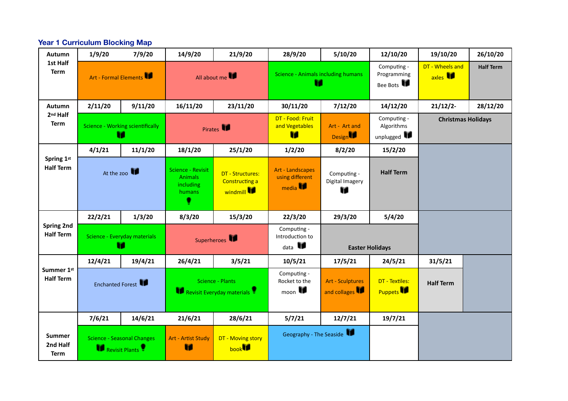#### **Year 1 Curriculum Blocking Map**

| Autumn                                | 1/9/20                                              | 7/9/20  | 14/9/20                                                           | 21/9/20                                                      | 28/9/20                                                | 5/10/20                                 | 12/10/20                                | 19/10/20                           | 26/10/20         |
|---------------------------------------|-----------------------------------------------------|---------|-------------------------------------------------------------------|--------------------------------------------------------------|--------------------------------------------------------|-----------------------------------------|-----------------------------------------|------------------------------------|------------------|
| 1st Half<br><b>Term</b>               | Art - Formal Elements                               |         | All about me                                                      |                                                              | <b>Science - Animals including humans</b><br>Ħ         |                                         | Computing -<br>Programming<br>Bee Bots  | DT - Wheels and<br>axles <b>ID</b> | <b>Half Term</b> |
| Autumn                                | 2/11/20                                             | 9/11/20 | 16/11/20                                                          | 23/11/20                                                     | 30/11/20                                               | 7/12/20                                 | 14/12/20                                | 21/12/2                            | 28/12/20         |
| 2 <sup>nd</sup> Half<br><b>Term</b>   | <b>Science - Working scientifically</b><br>m        |         | Pirates                                                           |                                                              | DT - Food: Fruit<br>and Vegetables<br>Н                | Art - Art and<br><b>Design</b>          | Computing -<br>Algorithms<br>unplugged  | <b>Christmas Holidays</b>          |                  |
|                                       | 4/1/21                                              | 11/1/20 | 18/1/20                                                           | 25/1/20                                                      | 1/2/20                                                 | 8/2/20                                  | 15/2/20                                 |                                    |                  |
| Spring 1st<br><b>Half Term</b>        | At the zoo                                          |         | <b>Science - Revisit</b><br><b>Animals</b><br>including<br>humans | <b>DT - Structures:</b><br><b>Constructing a</b><br>windmill | Art - Landscapes<br>using different<br>media <b>ID</b> | Computing -<br>Digital Imagery<br>n     | <b>Half Term</b>                        |                                    |                  |
|                                       | 22/2/21                                             | 1/3/20  | 8/3/20                                                            | 15/3/20                                                      | 22/3/20                                                | 29/3/20                                 | 5/4/20                                  |                                    |                  |
| <b>Spring 2nd</b><br><b>Half Term</b> | Science - Everyday materials<br>Ħ                   |         | Superheroes                                                       |                                                              | Computing -<br>Introduction to<br>$_{\text{data}}$     |                                         | <b>Easter Holidays</b>                  |                                    |                  |
|                                       | 12/4/21                                             | 19/4/21 | 26/4/21                                                           | 3/5/21                                                       | 10/5/21                                                | 17/5/21                                 | 24/5/21                                 | 31/5/21                            |                  |
| Summer 1st<br><b>Half Term</b>        | Enchanted Forest                                    |         | <b>Science - Plants</b><br>Revisit Everyday materials             |                                                              | Computing -<br>Rocket to the<br>$_{\text{moon}}$       | <b>Art - Sculptures</b><br>and collages | <b>DT</b> - Textiles:<br><b>Puppets</b> | <b>Half Term</b>                   |                  |
|                                       | 7/6/21                                              | 14/6/21 | 21/6/21                                                           | 28/6/21                                                      | 5/7/21                                                 | 12/7/21                                 | 19/7/21                                 |                                    |                  |
| Summer<br>2nd Half<br><b>Term</b>     | <b>Science - Seasonal Changes</b><br>Revisit Plants |         | Art - Artist Study<br>n                                           | DT - Moving story<br>book                                    | Geography - The Seaside                                |                                         |                                         |                                    |                  |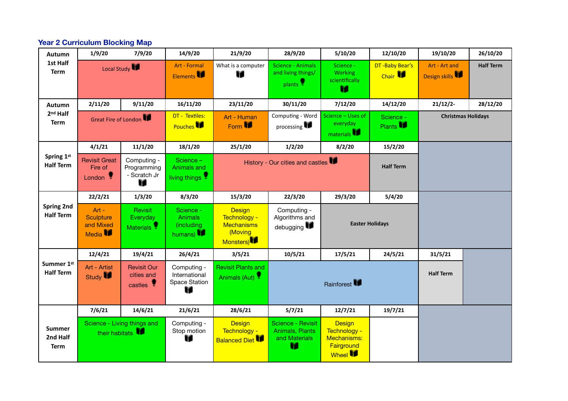#### **Year 2 Curriculum Blocking Map**

| <b>Autumn</b>                            | 1/9/20                                                 | 7/9/20                                          | 14/9/20                                                             | 21/9/20                                                                    | 28/9/20                                                               | 5/10/20                                                                       | 12/10/20                              | 19/10/20                       | 26/10/20         |  |  |
|------------------------------------------|--------------------------------------------------------|-------------------------------------------------|---------------------------------------------------------------------|----------------------------------------------------------------------------|-----------------------------------------------------------------------|-------------------------------------------------------------------------------|---------------------------------------|--------------------------------|------------------|--|--|
| 1st Half<br><b>Term</b>                  | Local Study                                            |                                                 | Art - Formal<br>Elements                                            | What is a computer<br>n                                                    | <b>Science - Animals</b><br>and living things/<br>plants <sup>9</sup> | Science -<br>Working<br>scientifically<br>m                                   | DT-Baby Bear's<br>Chair <sup>11</sup> | Art - Art and<br>Design skills | <b>Half Term</b> |  |  |
| Autumn                                   | 2/11/20                                                | 9/11/20                                         | 16/11/20                                                            | 23/11/20                                                                   | 30/11/20                                                              | 7/12/20                                                                       | 14/12/20                              | 21/12/2                        | 28/12/20         |  |  |
| 2 <sup>nd</sup> Half<br><b>Term</b>      | Great Fire of London                                   |                                                 | DT - Textiles:<br>Pouches <b>IP</b>                                 | Art - Human<br>Form <b>ID</b>                                              | Computing - Word<br>processing                                        | Science - Uses of<br>everyday<br>materials <sup>11</sup>                      | Science -<br>Plants <b>ID</b>         | <b>Christmas Holidays</b>      |                  |  |  |
|                                          | 4/1/21                                                 | 11/1/20                                         | 18/1/20                                                             | 25/1/20                                                                    | 1/2/20                                                                | 8/2/20                                                                        | 15/2/20                               |                                |                  |  |  |
| Spring 1st<br><b>Half Term</b>           | <b>Revisit Great</b><br>Fire of<br>London <sup>9</sup> | Computing -<br>Programming<br>- Scratch Jr<br>n | Science -<br>Animals and<br>living things                           |                                                                            |                                                                       | History - Our cities and castles<br><b>Half Term</b>                          |                                       |                                |                  |  |  |
|                                          | 22/2/21                                                | 1/3/20                                          | 8/3/20                                                              | 15/3/20                                                                    | 22/3/20                                                               | 29/3/20                                                                       | 5/4/20                                |                                |                  |  |  |
| <b>Spring 2nd</b><br><b>Half Term</b>    | Art -<br>Sculpture<br>and Mixed<br>Media <b>IP</b>     | Revisit<br>Everyday<br>Materials <sup>9</sup>   | Science -<br><b>Animals</b><br>(including<br>humans) $\blacksquare$ | <b>Design</b><br>Technology -<br><b>Mechanisms</b><br>(Moving<br>Monsters) | Computing -<br>Algorithms and<br>debugging                            | <b>Easter Holidays</b>                                                        |                                       |                                |                  |  |  |
|                                          | 12/4/21                                                | 19/4/21                                         | 26/4/21                                                             | 3/5/21                                                                     | 10/5/21                                                               | 17/5/21                                                                       | 24/5/21                               | 31/5/21                        |                  |  |  |
| Summer 1st<br><b>Half Term</b>           | Art - Artist<br>Study <b>In</b>                        | <b>Revisit Our</b><br>cities and<br>castles !   | Computing -<br>International<br>Space Station<br>n                  | <b>Revisit Plants and</b><br>Animals (Aut)                                 | Rainforest                                                            |                                                                               |                                       | <b>Half Term</b>               |                  |  |  |
|                                          | 7/6/21                                                 | 14/6/21                                         | 21/6/21                                                             | 28/6/21                                                                    | 5/7/21                                                                | 12/7/21                                                                       | 19/7/21                               |                                |                  |  |  |
| <b>Summer</b><br>2nd Half<br><b>Term</b> | Science - Living things and<br>their habitats          |                                                 | Computing -<br>Stop motion<br>v                                     | <b>Design</b><br>Technology -<br><b>Balanced Diet</b>                      | <b>Science - Revisit</b><br>Animals, Plants<br>and Materials<br>Ħ     | <b>Design</b><br>Technology -<br>Mechanisms:<br>Fairground<br>Wheel <b>IF</b> |                                       |                                |                  |  |  |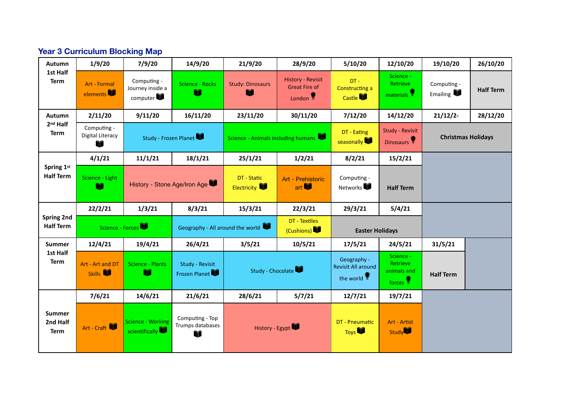# **Year 3 Curriculum Blocking Map**

| Autumn                                   | 1/9/20                               | 7/9/20                                      | 14/9/20                                  | 21/9/20                            | 28/9/20                                                                   | 5/10/20                                               | 12/10/20                                                | 19/10/20                | 26/10/20                  |
|------------------------------------------|--------------------------------------|---------------------------------------------|------------------------------------------|------------------------------------|---------------------------------------------------------------------------|-------------------------------------------------------|---------------------------------------------------------|-------------------------|---------------------------|
| 1st Half<br><b>Term</b>                  | Art - Formal<br>elements             | Computing -<br>Journey inside a<br>computer | Science - Rocks                          | <b>Study: Dinosaurs</b><br>m       | <b>History - Revisit</b><br><b>Great Fire of</b><br>London $\blacksquare$ | $DT -$<br><b>Constructing a</b><br>Castle <b>VI</b>   | Science -<br><b>Retrieve</b><br>materials !             | Computing -<br>Emailing | <b>Half Term</b>          |
| <b>Autumn</b>                            | 2/11/20                              | 9/11/20                                     | 16/11/20                                 | 23/11/20                           | 30/11/20                                                                  | 7/12/20                                               | 14/12/20                                                | $21/12/2$ -             | 28/12/20                  |
| 2 <sup>nd</sup> Half<br>Term             | Computing -<br>Digital Literacy<br>m | Study - Frozen Planet                       |                                          | Science - Animals including humans |                                                                           | DT - Eating<br>seasonally                             | <b>Study - Revisit</b><br>Dinosaurs                     |                         | <b>Christmas Holidays</b> |
|                                          | 4/1/21                               | 11/1/21                                     | 18/1/21                                  | 25/1/21                            | 1/2/21                                                                    | 8/2/21                                                | 15/2/21                                                 |                         |                           |
| Spring 1st<br><b>Half Term</b>           | Science - Light<br>m                 |                                             | History - Stone Age/Iron Age             | DT - Static<br><b>Electricity</b>  | Art - Prehistoric<br>art $\P$                                             | Computing -<br>Networks                               | <b>Half Term</b>                                        |                         |                           |
|                                          | 22/2/21                              | 1/3/21                                      | 8/3/21                                   | 15/3/21                            | 22/3/21                                                                   | 29/3/21                                               | 5/4/21                                                  |                         |                           |
| Spring 2nd<br><b>Half Term</b>           | Science - Forces                     |                                             |                                          | Geography - All around the world   | DT - Textiles<br>(Cushions)                                               |                                                       | <b>Easter Holidays</b>                                  |                         |                           |
| <b>Summer</b>                            | 12/4/21                              | 19/4/21                                     | 26/4/21                                  | 3/5/21                             | 10/5/21                                                                   | 17/5/21                                               | 24/5/21                                                 | 31/5/21                 |                           |
| 1st Half<br><b>Term</b>                  | Art - Art and DT<br>Skills <b>T</b>  | <b>Science - Plants</b><br>m                | Study - Revisit<br>Frozen Planet         | Study - Chocolate                  |                                                                           | Geography -<br><b>Revisit All around</b><br>the world | Science -<br><b>Retrieve</b><br>animals and<br>forces ! | <b>Half Term</b>        |                           |
|                                          | 7/6/21                               | 14/6/21                                     | 21/6/21                                  | 28/6/21                            | 5/7/21                                                                    | 12/7/21                                               | 19/7/21                                                 |                         |                           |
| <b>Summer</b><br>2nd Half<br><b>Term</b> | Art - Craft                          | <b>Science - Working</b><br>scientifically  | Computing - Top<br>Trumps databases<br>Ŵ |                                    | History - Egypt                                                           | DT - Pneumatic<br><b>Toys</b>                         | Art - Artist<br>Study                                   |                         |                           |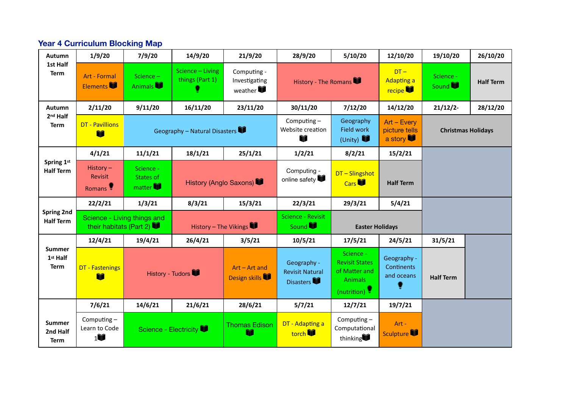# **Year 4 Curriculum Blocking Map**

| Autumn                                   | 1/9/20                                                       | 7/9/20                           | 14/9/20                                | 21/9/20                                 | 28/9/20                                            | 5/10/20                                                                              | 12/10/20                                | 19/10/20           | 26/10/20         |  |
|------------------------------------------|--------------------------------------------------------------|----------------------------------|----------------------------------------|-----------------------------------------|----------------------------------------------------|--------------------------------------------------------------------------------------|-----------------------------------------|--------------------|------------------|--|
| 1st Half<br><b>Term</b>                  | Art - Formal<br>Elements                                     | Science-<br>Animals              | Science - Living<br>things (Part 1)    | Computing -<br>Investigating<br>weather | History - The Romans                               |                                                                                      | $DT -$<br><b>Adapting a</b><br>recipe   | Science -<br>Sound | <b>Half Term</b> |  |
| Autumn                                   | 2/11/20                                                      | 9/11/20                          | 16/11/20                               | 23/11/20                                | 30/11/20                                           | 7/12/20                                                                              | 14/12/20                                | 21/12/2            | 28/12/20         |  |
| 2 <sup>nd</sup> Half<br><b>Term</b>      | <b>DT</b> - Pavillions<br>Geography - Natural Disasters<br>m |                                  | Computing $-$<br>Website creation<br>Ŵ |                                         | Geography<br>Field work<br>(Unity)                 | $Art - Every$<br>picture tells<br>a story                                            | <b>Christmas Holidays</b>               |                    |                  |  |
|                                          | 4/1/21                                                       | 11/1/21                          | 18/1/21                                | 25/1/21                                 | 1/2/21                                             | 8/2/21                                                                               | 15/2/21                                 |                    |                  |  |
| Spring 1st<br><b>Half Term</b>           | History-<br>Revisit<br>Romans <sup>1</sup>                   | Science -<br>States of<br>matter |                                        | History (Anglo Saxons)                  | Computing -<br>online safety                       | DT-Slingshot<br>Cars <sup></sup>                                                     | <b>Half Term</b>                        |                    |                  |  |
|                                          | 22/2/21                                                      | 1/3/21                           | 8/3/21                                 | 15/3/21                                 | 22/3/21                                            | 29/3/21                                                                              | 5/4/21                                  |                    |                  |  |
| <b>Spring 2nd</b><br><b>Half Term</b>    | Science - Living things and<br>their habitats (Part 2)       |                                  | History - The Vikings                  |                                         | <b>Science - Revisit</b><br>Sound                  | <b>Easter Holidays</b>                                                               |                                         |                    |                  |  |
|                                          | 12/4/21                                                      | 19/4/21                          | 26/4/21                                | 3/5/21                                  | 10/5/21                                            | 17/5/21                                                                              | 24/5/21                                 | 31/5/21            |                  |  |
| <b>Summer</b><br>1st Half<br><b>Term</b> | <b>DT</b> - Fastenings<br>m                                  | History - Tudors                 |                                        | Art - Art and<br>Design skills          | Geography -<br><b>Revisit Natural</b><br>Disasters | Science -<br><b>Revisit States</b><br>of Matter and<br><b>Animals</b><br>(nutrition) | Geography -<br>Continents<br>and oceans | <b>Half Term</b>   |                  |  |
|                                          | 7/6/21                                                       | 14/6/21                          | 21/6/21                                | 28/6/21                                 | 5/7/21                                             | 12/7/21                                                                              | 19/7/21                                 |                    |                  |  |
| Summer<br>2nd Half<br><b>Term</b>        | Computing $-$<br>Learn to Code<br>$1$ î                      |                                  | Science - Electricity                  | <b>Thomas Edison</b><br>m               | DT - Adapting a<br>torch <sup>V</sup>              | Computing-<br>Computational<br>thinking                                              | Art -<br>Sculpture VI                   |                    |                  |  |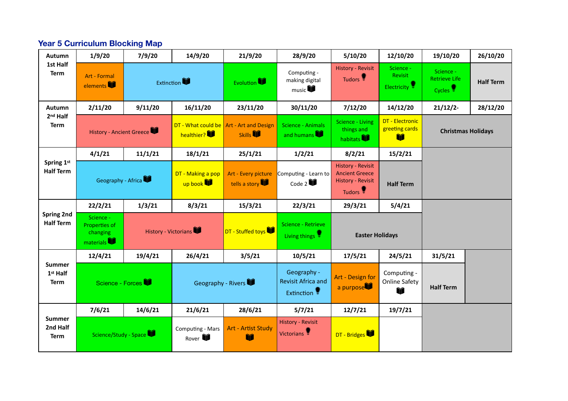# **Year 5 Curriculum Blocking Map**

| Autumn                                   | 1/9/20                                                            | 7/9/20  | 14/9/20                                   | 21/9/20                                                          | 28/9/20                                                  | 5/10/20                                                                                              | 12/10/20                                         | 19/10/20                                                 | 26/10/20         |
|------------------------------------------|-------------------------------------------------------------------|---------|-------------------------------------------|------------------------------------------------------------------|----------------------------------------------------------|------------------------------------------------------------------------------------------------------|--------------------------------------------------|----------------------------------------------------------|------------------|
| 1st Half<br>Term                         | Art - Formal<br>elements                                          |         | <b>Extinction</b>                         | <b>Evolution</b>                                                 | Computing -<br>making digital<br>music $\Psi$            | <b>History - Revisit</b><br>Tudors <sup>1</sup>                                                      | Science -<br>Revisit<br>Electricity <sup>9</sup> | Science -<br><b>Retrieve Life</b><br>Cycles <sup>9</sup> | <b>Half Term</b> |
| <b>Autumn</b>                            | 2/11/20                                                           | 9/11/20 | 16/11/20                                  | 23/11/20                                                         | 30/11/20                                                 | 7/12/20                                                                                              | 14/12/20                                         | $21/12/2$ -                                              | 28/12/20         |
| 2 <sup>nd</sup> Half<br><b>Term</b>      | <b>History - Ancient Greece</b>                                   |         | healthier?                                | DT - What could be $\vert$ Art - Art and Design<br><b>Skills</b> | Science - Animals<br>and humans                          | <b>Science - Living</b><br>things and<br>habitats <sup></sup>                                        | DT - Electronic<br>greeting cards<br>Ŵ           | <b>Christmas Holidays</b>                                |                  |
|                                          | 4/1/21                                                            | 11/1/21 | 18/1/21                                   | 25/1/21                                                          | 1/2/21                                                   | 8/2/21                                                                                               | 15/2/21                                          |                                                          |                  |
| Spring 1st<br><b>Half Term</b>           | Geography - Africa                                                |         | DT - Making a pop<br>up book              | Art - Every picture<br>tells a story                             | Computing - Learn to<br>Code 2                           | <b>History - Revisit</b><br><b>Ancient Greece</b><br><b>History - Revisit</b><br>Tudors <sup>1</sup> | <b>Half Term</b>                                 |                                                          |                  |
|                                          | 22/2/21                                                           | 1/3/21  | 8/3/21                                    | 15/3/21                                                          | 22/3/21                                                  | 29/3/21                                                                                              | 5/4/21                                           |                                                          |                  |
| <b>Spring 2nd</b><br><b>Half Term</b>    | Science -<br>Properties of<br>changing<br>materials <sup>11</sup> |         | DT - Stuffed toys<br>History - Victorians |                                                                  | Science - Retrieve<br>Living things                      | <b>Easter Holidays</b>                                                                               |                                                  |                                                          |                  |
|                                          | 12/4/21                                                           | 19/4/21 | 26/4/21                                   | 3/5/21                                                           | 10/5/21                                                  | 17/5/21                                                                                              | 24/5/21                                          | 31/5/21                                                  |                  |
| <b>Summer</b><br>1st Half<br><b>Term</b> | Science - Forces                                                  |         |                                           | Geography - Rivers                                               | Geography -<br><b>Revisit Africa and</b><br>Extinction • | Art - Design for<br>a purpose                                                                        | Computing -<br><b>Online Safety</b><br>Ŵ         | <b>Half Term</b>                                         |                  |
|                                          | 7/6/21                                                            | 14/6/21 | 21/6/21                                   | 28/6/21                                                          | 5/7/21                                                   | 12/7/21                                                                                              | 19/7/21                                          |                                                          |                  |
| <b>Summer</b><br>2nd Half<br>Term        | Science/Study - Space                                             |         | Computing - Mars<br>Rover <b>V</b>        | <b>Art - Artist Study</b><br>Ŵ                                   | <b>History - Revisit</b><br>Victorians                   | DT - Bridges                                                                                         |                                                  |                                                          |                  |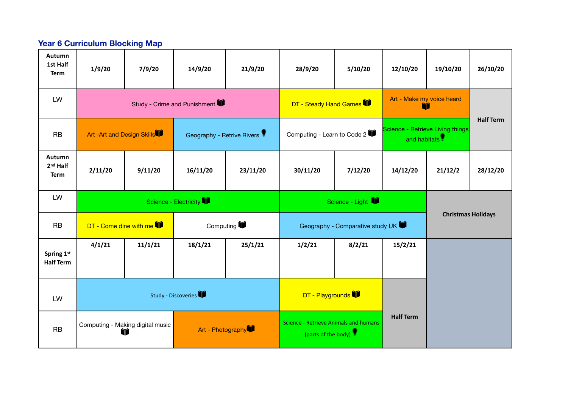#### **Year 6 Curriculum Blocking Map**

| Autumn<br>1st Half<br><b>Term</b>             | 1/9/20                                                     | 7/9/20                 | 14/9/20                      | 21/9/20  | 28/9/20                                                                          | 5/10/20                          | 12/10/20                                                      | 19/10/20                       | 26/10/20         |
|-----------------------------------------------|------------------------------------------------------------|------------------------|------------------------------|----------|----------------------------------------------------------------------------------|----------------------------------|---------------------------------------------------------------|--------------------------------|------------------|
| LW                                            |                                                            |                        | Study - Crime and Punishment |          | DT - Steady Hand Games                                                           |                                  |                                                               | Art - Make my voice heard<br>m |                  |
| <b>RB</b>                                     | Art -Art and Design Skills                                 |                        | Geography - Retrive Rivers   |          | Computing - Learn to Code 2                                                      |                                  | Science - Retrieve Living things<br>and habitats <sup>1</sup> |                                | <b>Half Term</b> |
| Autumn<br>2 <sup>nd</sup> Half<br><b>Term</b> | 2/11/20                                                    | 9/11/20                | 16/11/20                     | 23/11/20 | 30/11/20                                                                         | 7/12/20                          | 14/12/20                                                      | 21/12/2                        | 28/12/20         |
| LW                                            |                                                            |                        | Science - Electricity        |          | Science - Light                                                                  |                                  |                                                               |                                |                  |
| <b>RB</b>                                     |                                                            | DT - Come dine with me | Computing                    |          |                                                                                  | Geography - Comparative study UK |                                                               | <b>Christmas Holidays</b>      |                  |
| Spring 1st<br><b>Half Term</b>                | 4/1/21                                                     | 11/1/21                | 18/1/21                      | 25/1/21  | 1/2/21                                                                           | 8/2/21                           | 15/2/21                                                       |                                |                  |
| LW                                            |                                                            |                        | Study - Discoveries          |          | DT - Playgrounds                                                                 |                                  |                                                               |                                |                  |
| <b>RB</b>                                     | Computing - Making digital music<br>Art - Photography<br>Ŷ |                        |                              |          | <b>Half Term</b><br>Science - Retrieve Animals and humans<br>(parts of the body) |                                  |                                                               |                                |                  |